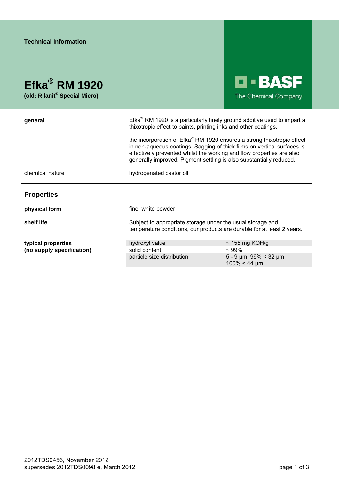| <b>Technical Information</b>                                           |                                                                                                                                                                                                                                                                                                                                                                                                                                                 |                                                        |
|------------------------------------------------------------------------|-------------------------------------------------------------------------------------------------------------------------------------------------------------------------------------------------------------------------------------------------------------------------------------------------------------------------------------------------------------------------------------------------------------------------------------------------|--------------------------------------------------------|
| Efka <sup>®</sup> RM 1920<br>(old: Rilanit <sup>®</sup> Special Micro) |                                                                                                                                                                                                                                                                                                                                                                                                                                                 | <b>LI-BASF</b><br>The Chemical Company                 |
| general                                                                | Efka® RM 1920 is a particularly finely ground additive used to impart a<br>thixotropic effect to paints, printing inks and other coatings.<br>the incorporation of Efka® RM 1920 ensures a strong thixotropic effect<br>in non-aqueous coatings. Sagging of thick films on vertical surfaces is<br>effectively prevented whilst the working and flow properties are also<br>generally improved. Pigment settling is also substantially reduced. |                                                        |
|                                                                        |                                                                                                                                                                                                                                                                                                                                                                                                                                                 |                                                        |
| chemical nature                                                        | hydrogenated castor oil                                                                                                                                                                                                                                                                                                                                                                                                                         |                                                        |
| <b>Properties</b>                                                      |                                                                                                                                                                                                                                                                                                                                                                                                                                                 |                                                        |
| physical form                                                          | fine, white powder                                                                                                                                                                                                                                                                                                                                                                                                                              |                                                        |
| shelf life                                                             | Subject to appropriate storage under the usual storage and<br>temperature conditions, our products are durable for at least 2 years.                                                                                                                                                                                                                                                                                                            |                                                        |
| typical properties                                                     | hydroxyl value                                                                                                                                                                                                                                                                                                                                                                                                                                  | $\sim$ 155 mg KOH/g                                    |
| (no supply specification)                                              | solid content                                                                                                                                                                                                                                                                                                                                                                                                                                   | $~109\%$                                               |
|                                                                        | particle size distribution                                                                                                                                                                                                                                                                                                                                                                                                                      | $5 - 9 \mu m$ , 99% < 32 $\mu m$<br>$100\% < 44 \mu m$ |
|                                                                        |                                                                                                                                                                                                                                                                                                                                                                                                                                                 |                                                        |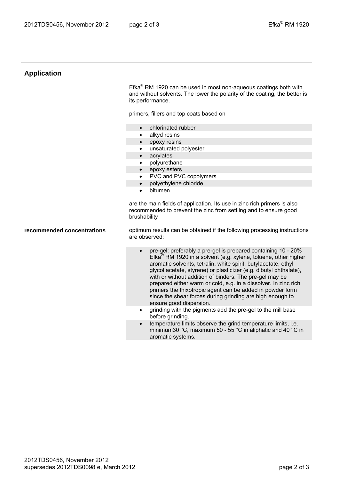## **Application**

Efka<sup>®</sup> RM 1920 can be used in most non-aqueous coatings both with and without solvents. The lower the polarity of the coating, the better is its performance.

primers, fillers and top coats based on

- chlorinated rubber
- alkyd resins
- epoxy resins
- unsaturated polyester
- acrylates
- polyurethane
- epoxy esters
	- PVC and PVC copolymers
	- polyethylene chloride
	- bitumen

are the main fields of application. Its use in zinc rich primers is also recommended to prevent the zinc from settling and to ensure good brushability

**recommended concentrations** optimum results can be obtained if the following processing instructions are observed:

- pre-gel: preferably a pre-gel is prepared containing 10 20% Efka® RM 1920 in a solvent (e.g. xylene, toluene, other higher aromatic solvents, tetralin, white spirit, butylacetate, ethyl glycol acetate, styrene) or plasticizer (e.g. dibutyl phthalate), with or without addition of binders. The pre-gel may be prepared either warm or cold, e.g. in a dissolver. In zinc rich primers the thixotropic agent can be added in powder form since the shear forces during grinding are high enough to ensure good dispersion.
- grinding with the pigments add the pre-gel to the mill base before grinding.
- temperature limits observe the grind temperature limits, i.e. minimum30 °C, maximum 50 - 55 °C in aliphatic and 40 °C in aromatic systems.